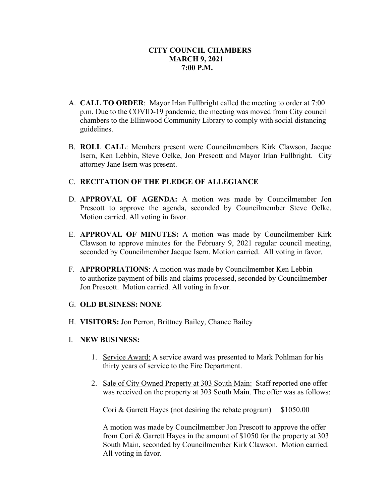- A. **CALL TO ORDER**: Mayor Irlan Fullbright called the meeting to order at 7:00 p.m. Due to the COVID-19 pandemic, the meeting was moved from City council chambers to the Ellinwood Community Library to comply with social distancing guidelines.
- B. **ROLL CALL**: Members present were Councilmembers Kirk Clawson, Jacque Isern, Ken Lebbin, Steve Oelke, Jon Prescott and Mayor Irlan Fullbright. City attorney Jane Isern was present.

# C. **RECITATION OF THE PLEDGE OF ALLEGIANCE**

- D. **APPROVAL OF AGENDA:** A motion was made by Councilmember Jon Prescott to approve the agenda, seconded by Councilmember Steve Oelke. Motion carried. All voting in favor.
- E. **APPROVAL OF MINUTES:** A motion was made by Councilmember Kirk Clawson to approve minutes for the February 9, 2021 regular council meeting, seconded by Councilmember Jacque Isern. Motion carried. All voting in favor.
- F. **APPROPRIATIONS**: A motion was made by Councilmember Ken Lebbin to authorize payment of bills and claims processed, seconded by Councilmember Jon Prescott. Motion carried. All voting in favor.
- G. **OLD BUSINESS: NONE**
- H. **VISITORS:** Jon Perron, Brittney Bailey, Chance Bailey
- I. **NEW BUSINESS:**
	- 1. Service Award: A service award was presented to Mark Pohlman for his thirty years of service to the Fire Department.
	- 2. Sale of City Owned Property at 303 South Main: Staff reported one offer was received on the property at 303 South Main. The offer was as follows:

Cori & Garrett Hayes (not desiring the rebate program) \$1050.00

A motion was made by Councilmember Jon Prescott to approve the offer from Cori & Garrett Hayes in the amount of \$1050 for the property at 303 South Main, seconded by Councilmember Kirk Clawson. Motion carried. All voting in favor.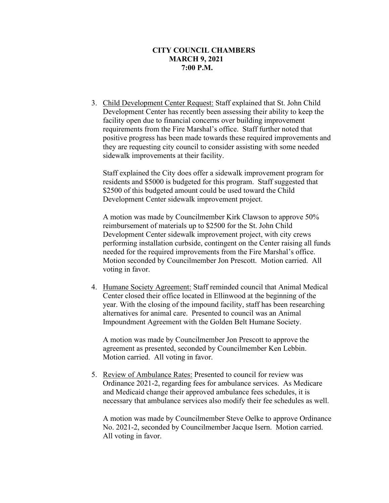3. Child Development Center Request: Staff explained that St. John Child Development Center has recently been assessing their ability to keep the facility open due to financial concerns over building improvement requirements from the Fire Marshal's office. Staff further noted that positive progress has been made towards these required improvements and they are requesting city council to consider assisting with some needed sidewalk improvements at their facility.

Staff explained the City does offer a sidewalk improvement program for residents and \$5000 is budgeted for this program. Staff suggested that \$2500 of this budgeted amount could be used toward the Child Development Center sidewalk improvement project.

A motion was made by Councilmember Kirk Clawson to approve 50% reimbursement of materials up to \$2500 for the St. John Child Development Center sidewalk improvement project, with city crews performing installation curbside, contingent on the Center raising all funds needed for the required improvements from the Fire Marshal's office. Motion seconded by Councilmember Jon Prescott. Motion carried. All voting in favor.

 4. Humane Society Agreement: Staff reminded council that Animal Medical Center closed their office located in Ellinwood at the beginning of the year. With the closing of the impound facility, staff has been researching alternatives for animal care. Presented to council was an Animal Impoundment Agreement with the Golden Belt Humane Society.

A motion was made by Councilmember Jon Prescott to approve the agreement as presented, seconded by Councilmember Ken Lebbin. Motion carried. All voting in favor.

5. Review of Ambulance Rates: Presented to council for review was Ordinance 2021-2, regarding fees for ambulance services. As Medicare and Medicaid change their approved ambulance fees schedules, it is necessary that ambulance services also modify their fee schedules as well.

A motion was made by Councilmember Steve Oelke to approve Ordinance No. 2021-2, seconded by Councilmember Jacque Isern. Motion carried. All voting in favor.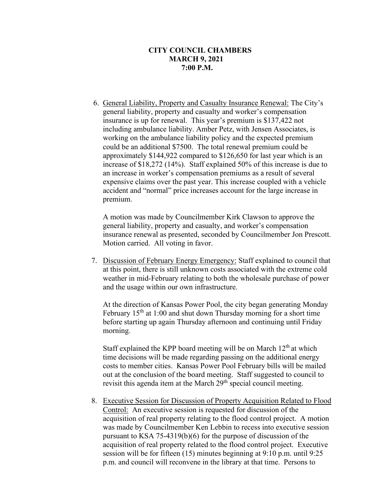6. General Liability, Property and Casualty Insurance Renewal: The City's general liability, property and casualty and worker's compensation insurance is up for renewal. This year's premium is \$137,422 not including ambulance liability. Amber Petz, with Jensen Associates, is working on the ambulance liability policy and the expected premium could be an additional \$7500. The total renewal premium could be approximately \$144,922 compared to \$126,650 for last year which is an increase of \$18,272 (14%). Staff explained 50% of this increase is due to an increase in worker's compensation premiums as a result of several expensive claims over the past year. This increase coupled with a vehicle accident and "normal" price increases account for the large increase in premium.

A motion was made by Councilmember Kirk Clawson to approve the general liability, property and casualty, and worker's compensation insurance renewal as presented, seconded by Councilmember Jon Prescott. Motion carried. All voting in favor.

 7. Discussion of February Energy Emergency: Staff explained to council that at this point, there is still unknown costs associated with the extreme cold weather in mid-February relating to both the wholesale purchase of power and the usage within our own infrastructure.

At the direction of Kansas Power Pool, the city began generating Monday February  $15<sup>th</sup>$  at 1:00 and shut down Thursday morning for a short time before starting up again Thursday afternoon and continuing until Friday morning.

Staff explained the KPP board meeting will be on March  $12<sup>th</sup>$  at which time decisions will be made regarding passing on the additional energy costs to member cities. Kansas Power Pool February bills will be mailed out at the conclusion of the board meeting. Staff suggested to council to revisit this agenda item at the March 29<sup>th</sup> special council meeting.

 8. Executive Session for Discussion of Property Acquisition Related to Flood Control: An executive session is requested for discussion of the acquisition of real property relating to the flood control project. A motion was made by Councilmember Ken Lebbin to recess into executive session pursuant to KSA 75-4319(b)(6) for the purpose of discussion of the acquisition of real property related to the flood control project. Executive session will be for fifteen (15) minutes beginning at 9:10 p.m. until 9:25 p.m. and council will reconvene in the library at that time. Persons to